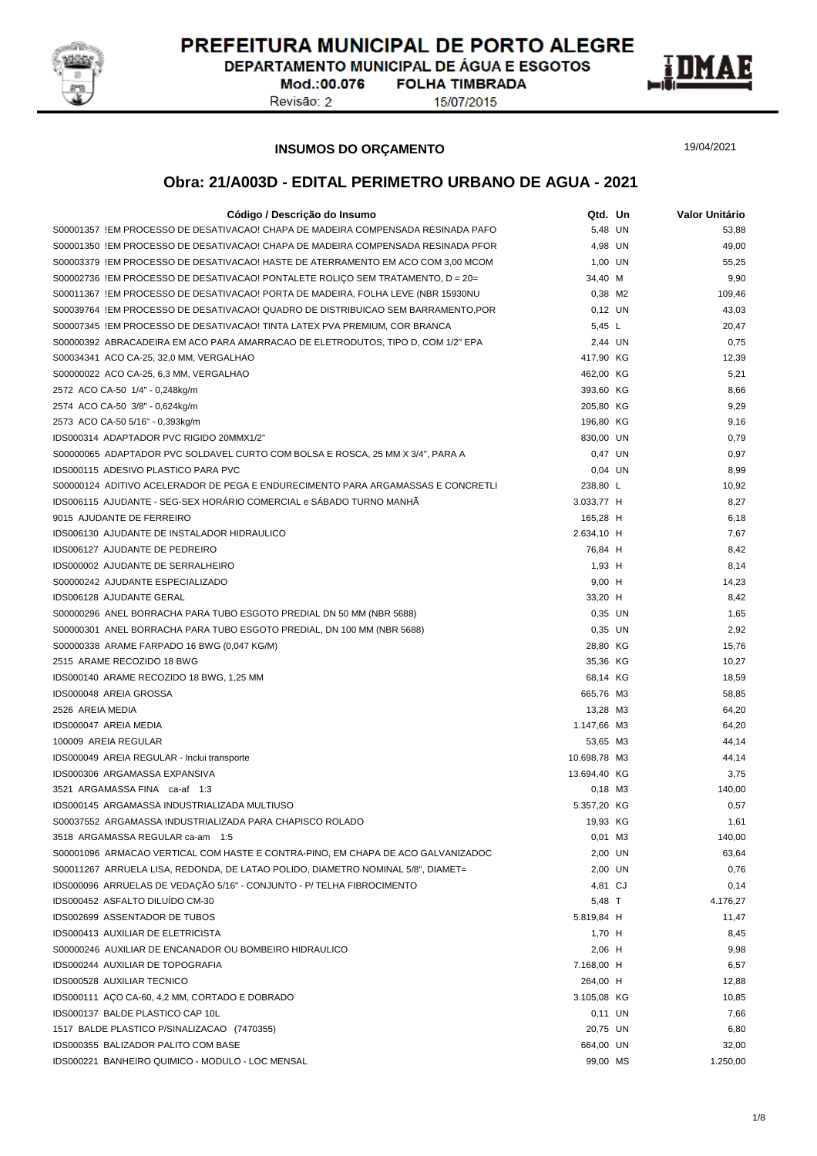

DEPARTAMENTO MUNICIPAL DE ÁGUA E ESGOTOS

Mod.:00.076 Revisão: 2

**FOLHA TIMBRADA** 15/07/2015



#### **INSUMOS DO ORÇAMENTO**

19/04/2021

| Código / Descrição do Insumo                                                      | Qtd. Un      | Valor Unitário |
|-----------------------------------------------------------------------------------|--------------|----------------|
| S00001357 !EM PROCESSO DE DESATIVACAO! CHAPA DE MADEIRA COMPENSADA RESINADA PAFO  | 5,48 UN      | 53,88          |
| S00001350 !EM PROCESSO DE DESATIVACAO! CHAPA DE MADEIRA COMPENSADA RESINADA PFOR  | 4,98 UN      | 49,00          |
| S00003379 !EM PROCESSO DE DESATIVACAO! HASTE DE ATERRAMENTO EM ACO COM 3,00 MCOM  | 1,00 UN      | 55,25          |
| S00002736 !EM PROCESSO DE DESATIVACAO! PONTALETE ROLIÇO SEM TRATAMENTO, D = 20=   | 34,40 M      | 9,90           |
| S00011367 !EM PROCESSO DE DESATIVACAO! PORTA DE MADEIRA, FOLHA LEVE (NBR 15930NU  | 0,38 M2      | 109,46         |
| S00039764 !EM PROCESSO DE DESATIVACAO! QUADRO DE DISTRIBUICAO SEM BARRAMENTO, POR | $0,12$ UN    | 43,03          |
| S00007345 !EM PROCESSO DE DESATIVACAO! TINTA LATEX PVA PREMIUM, COR BRANCA        | 5,45 L       | 20,47          |
| S00000392 ABRACADEIRA EM ACO PARA AMARRACAO DE ELETRODUTOS, TIPO D, COM 1/2" EPA  | 2,44 UN      | 0,75           |
| S00034341 ACO CA-25, 32,0 MM, VERGALHAO                                           | 417,90 KG    | 12,39          |
| S00000022 ACO CA-25, 6,3 MM, VERGALHAO                                            | 462,00 KG    | 5,21           |
| 2572 ACO CA-50 1/4" - 0,248kg/m                                                   | 393,60 KG    | 8,66           |
| 2574 ACO CA-50 3/8" - 0,624kg/m                                                   | 205,80 KG    | 9,29           |
| 2573 ACO CA-50 5/16" - 0,393kg/m                                                  | 196,80 KG    | 9,16           |
| IDS000314 ADAPTADOR PVC RIGIDO 20MMX1/2"                                          | 830,00 UN    | 0,79           |
| S00000065 ADAPTADOR PVC SOLDAVEL CURTO COM BOLSA E ROSCA, 25 MM X 3/4", PARA A    | $0,47$ UN    | 0,97           |
| IDS000115 ADESIVO PLASTICO PARA PVC                                               | 0,04 UN      | 8,99           |
| S00000124 ADITIVO ACELERADOR DE PEGA E ENDURECIMENTO PARA ARGAMASSAS E CONCRETLI  | 238,80 L     | 10,92          |
| IDS006115 AJUDANTE - SEG-SEX HORÁRIO COMERCIAL e SÁBADO TURNO MANHÃ               | 3.033,77 H   | 8,27           |
| 9015 AJUDANTE DE FERREIRO                                                         | 165,28 H     | 6,18           |
| IDS006130 AJUDANTE DE INSTALADOR HIDRAULICO                                       | 2.634,10 H   | 7,67           |
| IDS006127 AJUDANTE DE PEDREIRO                                                    | 76,84 H      | 8,42           |
| IDS000002 AJUDANTE DE SERRALHEIRO                                                 | 1,93 H       | 8,14           |
| S00000242 AJUDANTE ESPECIALIZADO                                                  | $9,00$ H     | 14,23          |
| IDS006128 AJUDANTE GERAL                                                          | 33,20 H      | 8,42           |
| S00000296 ANEL BORRACHA PARA TUBO ESGOTO PREDIAL DN 50 MM (NBR 5688)              | 0,35 UN      | 1,65           |
| S00000301 ANEL BORRACHA PARA TUBO ESGOTO PREDIAL, DN 100 MM (NBR 5688)            | $0,35$ UN    | 2,92           |
| S00000338 ARAME FARPADO 16 BWG (0,047 KG/M)                                       | 28,80 KG     | 15,76          |
| 2515 ARAME RECOZIDO 18 BWG                                                        | 35,36 KG     | 10,27          |
| IDS000140 ARAME RECOZIDO 18 BWG, 1,25 MM                                          | 68,14 KG     | 18,59          |
| IDS000048 AREIA GROSSA                                                            | 665,76 M3    | 58,85          |
| 2526 AREIA MEDIA                                                                  | 13,28 M3     | 64,20          |
| IDS000047 AREIA MEDIA                                                             | 1.147,66 M3  | 64,20          |
| 100009 AREIA REGULAR                                                              | 53,65 M3     | 44,14          |
| IDS000049 AREIA REGULAR - Inclui transporte                                       | 10.698,78 M3 | 44,14          |
| IDS000306 ARGAMASSA EXPANSIVA                                                     | 13.694,40 KG | 3,75           |
| 3521 ARGAMASSA FINA ca-af 1:3                                                     | $0,18$ M3    | 140,00         |
| IDS000145 ARGAMASSA INDUSTRIALIZADA MULTIUSO                                      | 5.357,20 KG  | 0,57           |
| S00037552 ARGAMASSA INDUSTRIALIZADA PARA CHAPISCO ROLADO                          | 19,93 KG     | 1,61           |
| 3518 ARGAMASSA REGULAR ca-am 1:5                                                  | $0,01$ M3    | 140,00         |
| S00001096 ARMACAO VERTICAL COM HASTE E CONTRA-PINO, EM CHAPA DE ACO GALVANIZADOC  | 2,00 UN      | 63,64          |
| S00011267 ARRUELA LISA, REDONDA, DE LATAO POLIDO, DIAMETRO NOMINAL 5/8", DIAMET=  | 2,00 UN      | 0,76           |
| IDS000096 ARRUELAS DE VEDAÇÃO 5/16" - CONJUNTO - P/ TELHA FIBROCIMENTO            | 4,81 CJ      | 0,14           |
| IDS000452 ASFALTO DILUÍDO CM-30                                                   | 5,48 T       | 4.176,27       |
| IDS002699 ASSENTADOR DE TUBOS                                                     | 5.819,84 H   | 11,47          |
| IDS000413 AUXILIAR DE ELETRICISTA                                                 | 1,70 H       | 8,45           |
| S00000246 AUXILIAR DE ENCANADOR OU BOMBEIRO HIDRAULICO                            | $2,06$ H     | 9,98           |
| IDS000244 AUXILIAR DE TOPOGRAFIA                                                  | 7.168,00 H   | 6,57           |
| IDS000528 AUXILIAR TECNICO                                                        | 264,00 H     | 12,88          |
| IDS000111 AÇO CA-60, 4,2 MM, CORTADO E DOBRADO                                    | 3.105,08 KG  | 10,85          |
| IDS000137 BALDE PLASTICO CAP 10L                                                  | $0,11$ UN    | 7,66           |
| 1517 BALDE PLASTICO P/SINALIZACAO (7470355)                                       | 20,75 UN     | 6,80           |
| IDS000355 BALIZADOR PALITO COM BASE                                               | 664,00 UN    | 32,00          |
| IDS000221 BANHEIRO QUIMICO - MODULO - LOC MENSAL                                  | 99,00 MS     | 1.250,00       |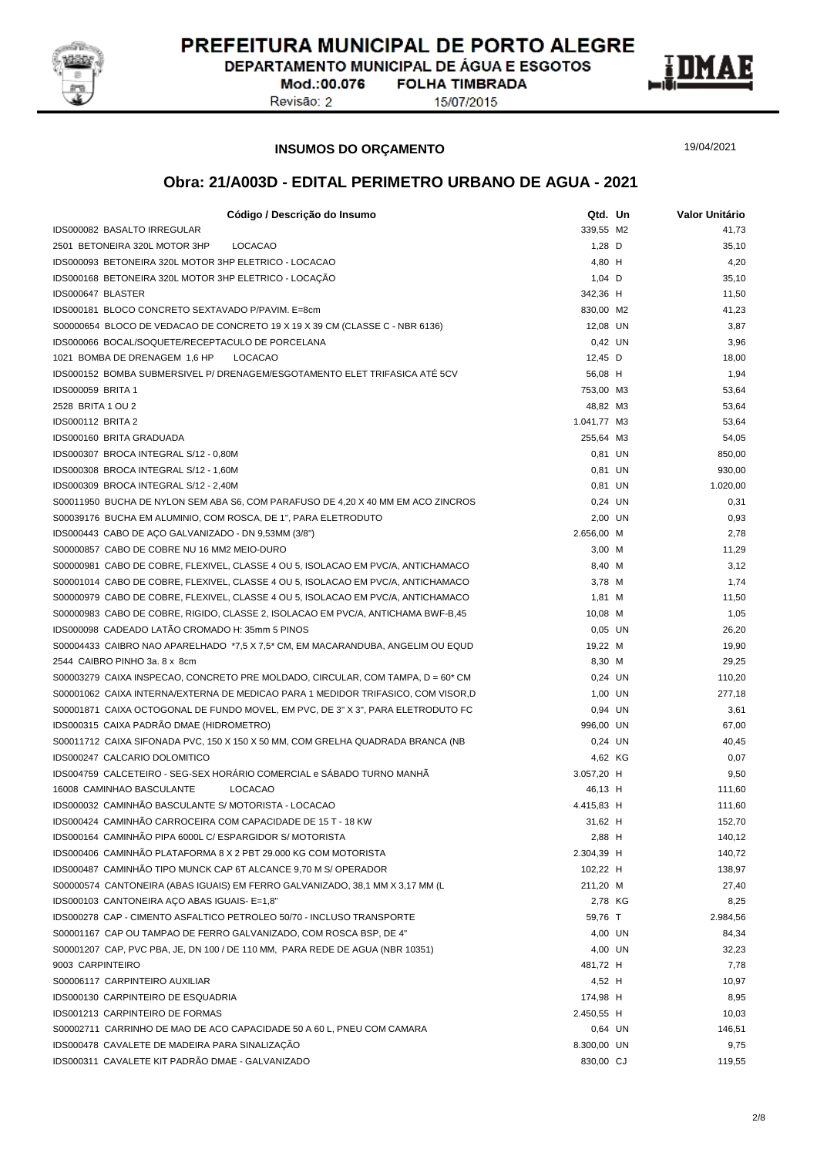

DEPARTAMENTO MUNICIPAL DE ÁGUA E ESGOTOS **FOLHA TIMBRADA** 

Mod.:00.076 Revisão: 2

15/07/2015



### **INSUMOS DO ORÇAMENTO**

19/04/2021

| Código / Descrição do Insumo                                                             | Qtd. Un             | <b>Valor Unitário</b> |
|------------------------------------------------------------------------------------------|---------------------|-----------------------|
| IDS000082 BASALTO IRREGULAR                                                              | 339,55 M2           | 41,73                 |
| 2501 BETONEIRA 320L MOTOR 3HP<br><b>LOCACAO</b>                                          | 1,28 $\overline{D}$ | 35,10                 |
| IDS000093 BETONEIRA 320L MOTOR 3HP ELETRICO - LOCACAO                                    | 4,80 H              | 4,20                  |
| IDS000168 BETONEIRA 320L MOTOR 3HP ELETRICO - LOCAÇÃO                                    | 1,04 $\overline{D}$ | 35,10                 |
| IDS000647 BLASTER                                                                        | 342,36 H            | 11,50                 |
| IDS000181 BLOCO CONCRETO SEXTAVADO P/PAVIM. E=8cm                                        | 830,00 M2           | 41,23                 |
| S00000654 BLOCO DE VEDACAO DE CONCRETO 19 X 19 X 39 CM (CLASSE C - NBR 6136)             | 12,08 UN            | 3,87                  |
| IDS000066 BOCAL/SOQUETE/RECEPTACULO DE PORCELANA                                         | 0,42 UN             | 3,96                  |
| 1021 BOMBA DE DRENAGEM 1,6 HP<br>LOCACAO                                                 | 12,45 D             | 18,00                 |
| IDS000152 BOMBA SUBMERSIVEL P/ DRENAGEM/ESGOTAMENTO ELET TRIFASICA ATÉ 5CV               | 56,08 H             | 1,94                  |
| <b>IDS000059 BRITA 1</b>                                                                 | 753,00 M3           | 53,64                 |
| 2528 BRITA 1 OU 2                                                                        | 48,82 M3            |                       |
| <b>IDS000112 BRITA 2</b>                                                                 | 1.041,77 M3         | 53,64                 |
| IDS000160 BRITA GRADUADA                                                                 |                     | 53,64                 |
|                                                                                          | 255,64 M3           | 54,05                 |
| IDS000307 BROCA INTEGRAL S/12 - 0,80M                                                    | 0,81 UN             | 850,00                |
| IDS000308 BROCA INTEGRAL S/12 - 1,60M                                                    | 0,81 UN             | 930,00                |
| IDS000309 BROCA INTEGRAL S/12 - 2,40M                                                    | 0,81 UN             | 1.020,00              |
| S00011950 BUCHA DE NYLON SEM ABA S6, COM PARAFUSO DE 4,20 X 40 MM EM ACO ZINCROS         | 0,24 UN             | 0,31                  |
| S00039176 BUCHA EM ALUMINIO, COM ROSCA, DE 1", PARA ELETRODUTO                           | 2,00 UN             | 0,93                  |
| IDS000443 CABO DE AÇO GALVANIZADO - DN 9,53MM (3/8")                                     | 2.656,00 M          | 2,78                  |
| S00000857 CABO DE COBRE NU 16 MM2 MEIO-DURO                                              | 3,00 M              | 11,29                 |
| S00000981 CABO DE COBRE, FLEXIVEL, CLASSE 4 OU 5, ISOLACAO EM PVC/A, ANTICHAMACO         | 8,40 M              | 3,12                  |
| S00001014 CABO DE COBRE, FLEXIVEL, CLASSE 4 OU 5, ISOLACAO EM PVC/A, ANTICHAMACO         | 3,78 M              | 1,74                  |
| S00000979 CABO DE COBRE, FLEXIVEL, CLASSE 4 OU 5, ISOLACAO EM PVC/A, ANTICHAMACO         | 1,81 M              | 11,50                 |
| S00000983 CABO DE COBRE, RIGIDO, CLASSE 2, ISOLACAO EM PVC/A, ANTICHAMA BWF-B,45         | $10,08$ M           | 1,05                  |
| IDS000098 CADEADO LATÃO CROMADO H: 35mm 5 PINOS                                          | $0,05$ UN           | 26,20                 |
| S00004433 CAIBRO NAO APARELHADO *7,5 X 7,5 * CM, EM MACARANDUBA, ANGELIM OU EQUD         | 19,22 M             | 19,90                 |
| 2544 CAIBRO PINHO 3a. 8 x 8cm                                                            | 8,30 M              | 29,25                 |
| S00003279 CAIXA INSPECAO, CONCRETO PRE MOLDADO, CIRCULAR, COM TAMPA, $D = 60^{\circ}$ CM | 0,24 UN             | 110,20                |
| S00001062 CAIXA INTERNA/EXTERNA DE MEDICAO PARA 1 MEDIDOR TRIFASICO, COM VISOR, D        | 1,00 UN             | 277,18                |
| S00001871 CAIXA OCTOGONAL DE FUNDO MOVEL, EM PVC, DE 3" X 3", PARA ELETRODUTO FC         | 0,94 UN             | 3,61                  |
| IDS000315 CAIXA PADRÃO DMAE (HIDROMETRO)                                                 | 996,00 UN           | 67,00                 |
| S00011712 CAIXA SIFONADA PVC, 150 X 150 X 50 MM, COM GRELHA QUADRADA BRANCA (NB          | 0,24 UN             | 40,45                 |
| IDS000247 CALCARIO DOLOMITICO                                                            | 4,62 KG             | 0,07                  |
| IDS004759 CALCETEIRO - SEG-SEX HORÁRIO COMERCIAL e SÁBADO TURNO MANHÃ                    | 3.057,20 H          | 9,50                  |
| 16008 CAMINHAO BASCULANTE<br><b>LOCACAO</b>                                              | 46,13 H             | 111,60                |
| IDS000032 CAMINHÃO BASCULANTE S/ MOTORISTA - LOCACAO                                     | 4.415,83 H          | 111,60                |
| IDS000424 CAMINHÃO CARROCEIRA COM CAPACIDADE DE 15 T - 18 KW                             | 31,62 H             | 152,70                |
| IDS000164 CAMINHÃO PIPA 6000L C/ ESPARGIDOR S/ MOTORISTA                                 | $2,88$ H            | 140,12                |
| IDS000406 CAMINHÃO PLATAFORMA 8 X 2 PBT 29.000 KG COM MOTORISTA                          | 2.304,39 H          | 140,72                |
| IDS000487 CAMINHÃO TIPO MUNCK CAP 6T ALCANCE 9,70 M S/ OPERADOR                          | 102,22 H            | 138,97                |
| S00000574 CANTONEIRA (ABAS IGUAIS) EM FERRO GALVANIZADO, 38,1 MM X 3,17 MM (L            | 211,20 M            | 27,40                 |
| IDS000103 CANTONEIRA AÇO ABAS IGUAIS- E=1,8"                                             | 2,78 KG             | 8,25                  |
| IDS000278 CAP - CIMENTO ASFALTICO PETROLEO 50/70 - INCLUSO TRANSPORTE                    | 59,76 T             | 2.984,56              |
| S00001167 CAP OU TAMPAO DE FERRO GALVANIZADO, COM ROSCA BSP, DE 4"                       | 4,00 UN             | 84,34                 |
| S00001207 CAP, PVC PBA, JE, DN 100 / DE 110 MM, PARA REDE DE AGUA (NBR 10351)            | 4,00 UN             | 32,23                 |
| 9003 CARPINTEIRO                                                                         | 481,72 H            | 7,78                  |
| S00006117 CARPINTEIRO AUXILIAR                                                           | 4,52 H              | 10,97                 |
| IDS000130 CARPINTEIRO DE ESQUADRIA                                                       | 174,98 H            | 8,95                  |
| IDS001213 CARPINTEIRO DE FORMAS                                                          | 2.450,55 H          | 10,03                 |
| S00002711 CARRINHO DE MAO DE ACO CAPACIDADE 50 A 60 L, PNEU COM CAMARA                   | 0,64 UN             | 146,51                |
| IDS000478 CAVALETE DE MADEIRA PARA SINALIZAÇÃO                                           | 8.300,00 UN         | 9,75                  |
| IDS000311 CAVALETE KIT PADRÃO DMAE - GALVANIZADO                                         | 830,00 CJ           | 119,55                |
|                                                                                          |                     |                       |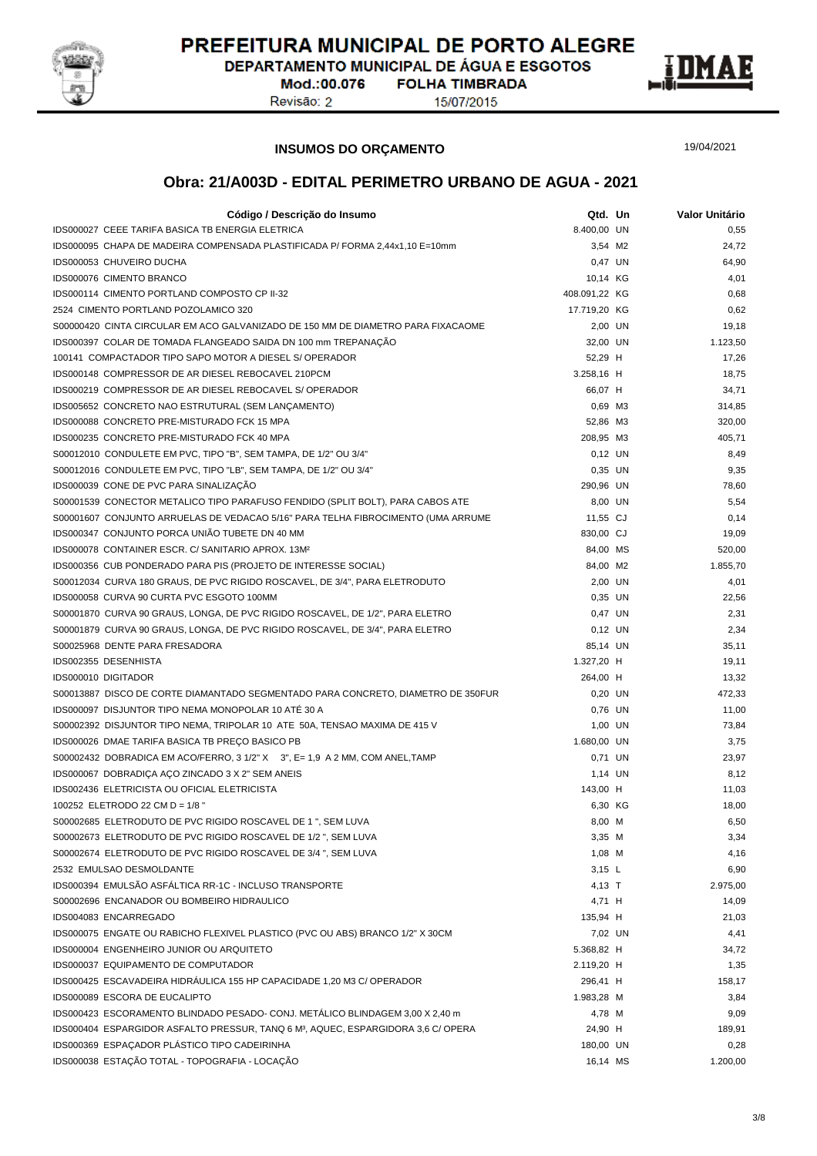

DEPARTAMENTO MUNICIPAL DE ÁGUA E ESGOTOS **FOLHA TIMBRADA** 

Mod.:00.076 Revisão: 2

15/07/2015



#### **INSUMOS DO ORÇAMENTO**

19/04/2021

| Código / Descrição do Insumo                                                                  | Qtd. Un          | Valor Unitário |
|-----------------------------------------------------------------------------------------------|------------------|----------------|
| IDS000027 CEEE TARIFA BASICA TB ENERGIA ELETRICA                                              | 8.400,00 UN      | 0,55           |
| IDS000095 CHAPA DE MADEIRA COMPENSADA PLASTIFICADA P/ FORMA 2,44x1,10 E=10mm                  | 3,54 M2          | 24,72          |
| IDS000053 CHUVEIRO DUCHA                                                                      | 0.47 UN          | 64,90          |
| IDS000076 CIMENTO BRANCO                                                                      | 10,14 KG         | 4,01           |
| IDS000114 CIMENTO PORTLAND COMPOSTO CP II-32                                                  | 408.091,22 KG    | 0,68           |
| 2524 CIMENTO PORTLAND POZOLAMICO 320                                                          | 17.719,20 KG     | 0,62           |
| S00000420 CINTA CIRCULAR EM ACO GALVANIZADO DE 150 MM DE DIAMETRO PARA FIXACAOME              | 2,00 UN          | 19,18          |
| IDS000397 COLAR DE TOMADA FLANGEADO SAIDA DN 100 mm TREPANAÇÃO                                | 32,00 UN         | 1.123,50       |
| 100141 COMPACTADOR TIPO SAPO MOTOR A DIESEL S/ OPERADOR                                       | 52,29 H          | 17,26          |
| IDS000148 COMPRESSOR DE AR DIESEL REBOCAVEL 210PCM                                            | 3.258,16 H       | 18,75          |
| IDS000219 COMPRESSOR DE AR DIESEL REBOCAVEL S/ OPERADOR                                       | 66,07 H          | 34,71          |
| IDS005652 CONCRETO NAO ESTRUTURAL (SEM LANÇAMENTO)                                            | 0,69 M3          | 314,85         |
| IDS000088 CONCRETO PRE-MISTURADO FCK 15 MPA                                                   | 52,86 M3         | 320,00         |
| IDS000235 CONCRETO PRE-MISTURADO FCK 40 MPA                                                   | 208,95 M3        | 405,71         |
| S00012010 CONDULETE EM PVC, TIPO "B", SEM TAMPA, DE 1/2" OU 3/4"                              | $0,12$ UN        | 8,49           |
| S00012016 CONDULETE EM PVC, TIPO "LB", SEM TAMPA, DE 1/2" OU 3/4"                             | 0,35 UN          | 9,35           |
| IDS000039 CONE DE PVC PARA SINALIZAÇÃO                                                        | 290,96 UN        | 78,60          |
| S00001539 CONECTOR METALICO TIPO PARAFUSO FENDIDO (SPLIT BOLT), PARA CABOS ATE                | 8,00 UN          | 5,54           |
| S00001607 CONJUNTO ARRUELAS DE VEDACAO 5/16" PARA TELHA FIBROCIMENTO (UMA ARRUME              | 11,55 CJ         | 0,14           |
| IDS000347 CONJUNTO PORCA UNIÃO TUBETE DN 40 MM                                                | 830,00 CJ        | 19,09          |
| IDS000078 CONTAINER ESCR. C/ SANITARIO APROX. 13M2                                            | 84,00 MS         | 520,00         |
| IDS000356 CUB PONDERADO PARA PIS (PROJETO DE INTERESSE SOCIAL)                                | 84,00 M2         | 1.855,70       |
| S00012034 CURVA 180 GRAUS, DE PVC RIGIDO ROSCAVEL, DE 3/4", PARA ELETRODUTO                   | 2,00 UN          | 4,01           |
| IDS000058 CURVA 90 CURTA PVC ESGOTO 100MM                                                     | 0,35 UN          | 22,56          |
| S00001870 CURVA 90 GRAUS, LONGA, DE PVC RIGIDO ROSCAVEL, DE 1/2", PARA ELETRO                 | 0.47 UN          | 2,31           |
| S00001879 CURVA 90 GRAUS, LONGA, DE PVC RIGIDO ROSCAVEL, DE 3/4", PARA ELETRO                 | $0,12$ UN        | 2,34           |
| S00025968 DENTE PARA FRESADORA                                                                | 85,14 UN         | 35,11          |
| IDS002355 DESENHISTA                                                                          | 1.327,20 H       | 19,11          |
| IDS000010 DIGITADOR                                                                           | 264,00 H         | 13,32          |
| S00013887 DISCO DE CORTE DIAMANTADO SEGMENTADO PARA CONCRETO, DIAMETRO DE 350FUR              | $0,20$ UN        | 472,33         |
| IDS000097 DISJUNTOR TIPO NEMA MONOPOLAR 10 ATÉ 30 A                                           | 0,76 UN          | 11,00          |
| S00002392 DISJUNTOR TIPO NEMA, TRIPOLAR 10 ATE 50A, TENSAO MAXIMA DE 415 V                    | 1,00 UN          | 73,84          |
| IDS000026 DMAE TARIFA BASICA TB PREÇO BASICO PB                                               | 1.680,00 UN      | 3,75           |
| S00002432 DOBRADICA EM ACO/FERRO, 3 1/2" X 3", E= 1,9 A 2 MM, COM ANEL, TAMP                  | 0,71 UN          | 23,97          |
| IDS000067 DOBRADIÇA AÇO ZINCADO 3 X 2" SEM ANEIS                                              | 1,14 UN          | 8,12           |
| <b>IDS002436 ELETRICISTA OU OFICIAL ELETRICISTA</b>                                           | 143,00 H         | 11,03          |
| 100252 ELETRODO 22 CM D = 1/8 "                                                               | 6,30 KG          | 18,00          |
| S00002685 ELETRODUTO DE PVC RIGIDO ROSCAVEL DE 1 ", SEM LUVA                                  | 8,00 M           | 6,50           |
| S00002673 ELETRODUTO DE PVC RIGIDO ROSCAVEL DE 1/2 ", SEM LUVA                                | $3,35$ M         | 3,34           |
| S00002674 ELETRODUTO DE PVC RIGIDO ROSCAVEL DE 3/4 ", SEM LUVA                                | $1,08$ M         | 4,16           |
| 2532 EMULSAO DESMOLDANTE                                                                      | $3,15 \text{ L}$ | 6,90           |
| IDS000394 EMULSÃO ASFÁLTICA RR-1C - INCLUSO TRANSPORTE                                        | 4,13 T           | 2.975,00       |
| S00002696 ENCANADOR OU BOMBEIRO HIDRAULICO                                                    | 4,71 H           | 14,09          |
| IDS004083 ENCARREGADO                                                                         | 135,94 H         | 21,03          |
| IDS000075 ENGATE OU RABICHO FLEXIVEL PLASTICO (PVC OU ABS) BRANCO 1/2" X 30CM                 | 7,02 UN          | 4,41           |
| IDS000004 ENGENHEIRO JUNIOR OU ARQUITETO                                                      | 5.368,82 H       | 34,72          |
| IDS000037 EQUIPAMENTO DE COMPUTADOR                                                           | 2.119,20 H       | 1,35           |
| IDS000425 ESCAVADEIRA HIDRÁULICA 155 HP CAPACIDADE 1,20 M3 C/ OPERADOR                        | 296,41 H         | 158,17         |
| IDS000089 ESCORA DE EUCALIPTO                                                                 | 1.983,28 M       | 3,84           |
| IDS000423 ESCORAMENTO BLINDADO PESADO- CONJ. METÁLICO BLINDAGEM 3,00 X 2,40 m                 | 4,78 M           | 9,09           |
| IDS000404 ESPARGIDOR ASFALTO PRESSUR, TANQ 6 M <sup>3</sup> , AQUEC, ESPARGIDORA 3,6 C/ OPERA | 24,90 H          | 189,91         |
| IDS000369 ESPAÇADOR PLÁSTICO TIPO CADEIRINHA                                                  | 180,00 UN        | 0,28           |
| IDS000038 ESTAÇÃO TOTAL - TOPOGRAFIA - LOCAÇÃO                                                | 16,14 MS         | 1.200,00       |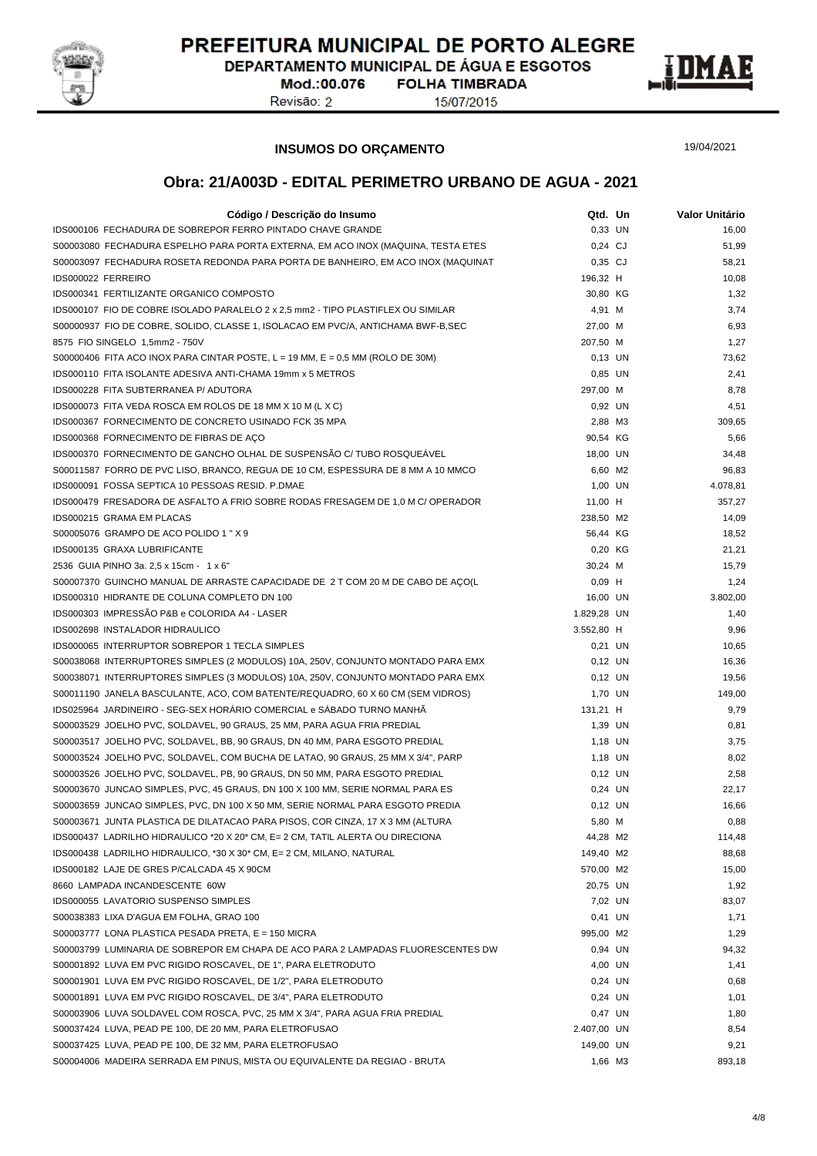

DEPARTAMENTO MUNICIPAL DE ÁGUA E ESGOTOS

Mod.:00.076 Revisão: 2

**FOLHA TIMBRADA** 15/07/2015



#### **INSUMOS DO ORÇAMENTO**

19/04/2021

| Código / Descrição do Insumo                                                       | Qtd. Un     | Valor Unitário |
|------------------------------------------------------------------------------------|-------------|----------------|
| IDS000106 FECHADURA DE SOBREPOR FERRO PINTADO CHAVE GRANDE                         | 0,33 UN     | 16,00          |
| S00003080 FECHADURA ESPELHO PARA PORTA EXTERNA, EM ACO INOX (MAQUINA, TESTA ETES   | $0,24$ CJ   | 51,99          |
| S00003097 FECHADURA ROSETA REDONDA PARA PORTA DE BANHEIRO, EM ACO INOX (MAQUINAT   | $0,35$ CJ   | 58,21          |
| IDS000022 FERREIRO                                                                 | 196,32 H    | 10,08          |
| IDS000341 FERTILIZANTE ORGANICO COMPOSTO                                           | 30,80 KG    | 1,32           |
| IDS000107 FIO DE COBRE ISOLADO PARALELO 2 x 2,5 mm2 - TIPO PLASTIFLEX OU SIMILAR   | 4,91 M      | 3,74           |
| S00000937 FIO DE COBRE, SOLIDO, CLASSE 1, ISOLACAO EM PVC/A, ANTICHAMA BWF-B,SEC   | 27,00 M     | 6,93           |
| 8575 FIO SINGELO 1.5mm2 - 750V                                                     | 207,50 M    | 1,27           |
| S00000406 FITA ACO INOX PARA CINTAR POSTE, $L = 19$ MM, $E = 0.5$ MM (ROLO DE 30M) | 0,13 UN     | 73,62          |
| IDS000110 FITA ISOLANTE ADESIVA ANTI-CHAMA 19mm x 5 METROS                         | 0.85 UN     | 2,41           |
| IDS000228 FITA SUBTERRANEA P/ ADUTORA                                              | 297,00 M    | 8,78           |
| IDS000073 FITA VEDA ROSCA EM ROLOS DE 18 MM X 10 M (L X C)                         | 0,92 UN     | 4,51           |
| IDS000367 FORNECIMENTO DE CONCRETO USINADO FCK 35 MPA                              | 2,88 M3     | 309,65         |
| IDS000368 FORNECIMENTO DE FIBRAS DE AÇO                                            | 90,54 KG    | 5,66           |
| IDS000370 FORNECIMENTO DE GANCHO OLHAL DE SUSPENSÃO C/ TUBO ROSQUEAVEL             | 18,00 UN    | 34,48          |
| S00011587 FORRO DE PVC LISO, BRANCO, REGUA DE 10 CM, ESPESSURA DE 8 MM A 10 MMCO   | 6,60 M2     | 96,83          |
| IDS000091 FOSSA SEPTICA 10 PESSOAS RESID. P.DMAE                                   | 1,00 UN     | 4.078,81       |
| IDS000479 FRESADORA DE ASFALTO A FRIO SOBRE RODAS FRESAGEM DE 1.0 M C/ OPERADOR    | 11,00 H     | 357,27         |
| IDS000215 GRAMA EM PLACAS                                                          | 238,50 M2   | 14,09          |
| S00005076 GRAMPO DE ACO POLIDO 1 " X 9                                             | 56,44 KG    | 18,52          |
| IDS000135 GRAXA LUBRIFICANTE                                                       | 0,20 KG     | 21,21          |
| 2536 GUIA PINHO 3a. 2,5 x 15cm - 1 x 6"                                            | 30,24 M     | 15,79          |
| S00007370 GUINCHO MANUAL DE ARRASTE CAPACIDADE DE 2 T COM 20 M DE CABO DE AÇO(L    | $0,09$ H    | 1,24           |
| IDS000310 HIDRANTE DE COLUNA COMPLETO DN 100                                       | 16,00 UN    | 3.802,00       |
| IDS000303 IMPRESSÃO P&B e COLORIDA A4 - LASER                                      | 1.829,28 UN | 1,40           |
| IDS002698 INSTALADOR HIDRAULICO                                                    | 3.552,80 H  | 9,96           |
| IDS000065 INTERRUPTOR SOBREPOR 1 TECLA SIMPLES                                     | 0,21 UN     | 10,65          |
| S00038068 INTERRUPTORES SIMPLES (2 MODULOS) 10A, 250V, CONJUNTO MONTADO PARA EMX   | $0,12$ UN   | 16,36          |
| S00038071 INTERRUPTORES SIMPLES (3 MODULOS) 10A, 250V, CONJUNTO MONTADO PARA EMX   | $0,12$ UN   | 19,56          |
| S00011190 JANELA BASCULANTE, ACO, COM BATENTE/REQUADRO, 60 X 60 CM (SEM VIDROS)    | 1,70 UN     | 149,00         |
| IDS025964 JARDINEIRO - SEG-SEX HORÁRIO COMERCIAL e SÁBADO TURNO MANHÃ              | 131,21 H    | 9,79           |
| S00003529 JOELHO PVC, SOLDAVEL, 90 GRAUS, 25 MM, PARA AGUA FRIA PREDIAL            | 1,39 UN     | 0,81           |
| S00003517 JOELHO PVC, SOLDAVEL, BB, 90 GRAUS, DN 40 MM, PARA ESGOTO PREDIAL        | 1,18 UN     | 3,75           |
| S00003524 JOELHO PVC, SOLDAVEL, COM BUCHA DE LATAO, 90 GRAUS, 25 MM X 3/4", PARP   | 1,18 UN     | 8,02           |
| S00003526 JOELHO PVC, SOLDAVEL, PB, 90 GRAUS, DN 50 MM, PARA ESGOTO PREDIAL        | $0,12$ UN   | 2,58           |
| S00003670 JUNCAO SIMPLES, PVC, 45 GRAUS, DN 100 X 100 MM, SERIE NORMAL PARA ES     | 0,24 UN     | 22,17          |
| S00003659 JUNCAO SIMPLES, PVC, DN 100 X 50 MM, SERIE NORMAL PARA ESGOTO PREDIA     | $0,12$ UN   | 16,66          |
| S00003671 JUNTA PLASTICA DE DILATACAO PARA PISOS, COR CINZA, 17 X 3 MM (ALTURA     | 5,80 M      | 0,88           |
| IDS000437 LADRILHO HIDRAULICO *20 X 20* CM, E= 2 CM, TATIL ALERTA OU DIRECIONA     | 44,28 M2    | 114,48         |
| IDS000438 LADRILHO HIDRAULICO, *30 X 30* CM, E= 2 CM, MILANO, NATURAL              | 149,40 M2   | 88,68          |
| IDS000182 LAJE DE GRES P/CALCADA 45 X 90CM                                         | 570,00 M2   | 15,00          |
| 8660 LAMPADA INCANDESCENTE 60W                                                     | 20,75 UN    | 1,92           |
| IDS000055 LAVATORIO SUSPENSO SIMPLES                                               | 7,02 UN     | 83,07          |
| S00038383 LIXA D'AGUA EM FOLHA, GRAO 100                                           | 0,41 UN     | 1,71           |
| S00003777 LONA PLASTICA PESADA PRETA, E = 150 MICRA                                | 995,00 M2   | 1,29           |
| S00003799 LUMINARIA DE SOBREPOR EM CHAPA DE ACO PARA 2 LAMPADAS FLUORESCENTES DW   | 0,94 UN     | 94,32          |
| S00001892 LUVA EM PVC RIGIDO ROSCAVEL, DE 1", PARA ELETRODUTO                      | 4,00 UN     | 1,41           |
| S00001901 LUVA EM PVC RIGIDO ROSCAVEL, DE 1/2", PARA ELETRODUTO                    | $0,24$ UN   | 0,68           |
| S00001891 LUVA EM PVC RIGIDO ROSCAVEL, DE 3/4", PARA ELETRODUTO                    | 0,24 UN     | 1,01           |
| S00003906 LUVA SOLDAVEL COM ROSCA, PVC, 25 MM X 3/4", PARA AGUA FRIA PREDIAL       | 0,47 UN     | 1,80           |
| S00037424 LUVA, PEAD PE 100, DE 20 MM, PARA ELETROFUSAO                            | 2.407,00 UN | 8,54           |
| S00037425 LUVA, PEAD PE 100, DE 32 MM, PARA ELETROFUSAO                            | 149,00 UN   | 9,21           |
| S00004006 MADEIRA SERRADA EM PINUS, MISTA OU EQUIVALENTE DA REGIAO - BRUTA         | 1,66 M3     | 893,18         |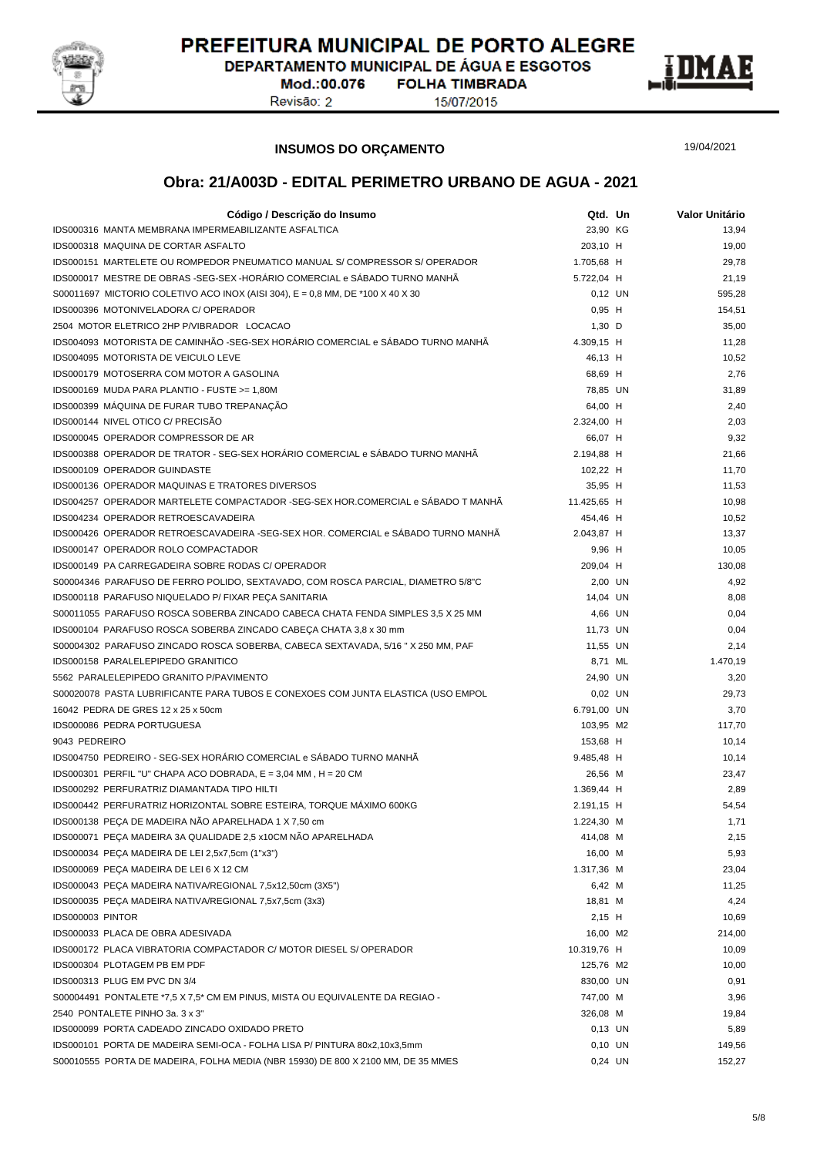

DEPARTAMENTO MUNICIPAL DE ÁGUA E ESGOTOS **FOLHA TIMBRADA** 

Mod.:00.076 Revisão: 2

15/07/2015



#### **INSUMOS DO ORÇAMENTO**

19/04/2021

| Código / Descrição do Insumo                                                     | Qtd. Un             | Valor Unitário |
|----------------------------------------------------------------------------------|---------------------|----------------|
| IDS000316 MANTA MEMBRANA IMPERMEABILIZANTE ASFALTICA                             | 23,90 KG            | 13,94          |
| IDS000318 MAQUINA DE CORTAR ASFALTO                                              | 203,10 H            | 19,00          |
| IDS000151 MARTELETE OU ROMPEDOR PNEUMATICO MANUAL S/ COMPRESSOR S/ OPERADOR      | 1.705,68 H          | 29,78          |
| IDS000017 MESTRE DE OBRAS -SEG-SEX -HORÁRIO COMERCIAL e SÁBADO TURNO MANHÃ       | 5.722,04 H          | 21,19          |
| S00011697 MICTORIO COLETIVO ACO INOX (AISI 304), $E = 0.8$ MM, DE *100 X 40 X 30 | $0,12$ UN           | 595,28         |
| IDS000396 MOTONIVELADORA C/ OPERADOR                                             | $0,95$ H            | 154,51         |
| 2504 MOTOR ELETRICO 2HP P/VIBRADOR LOCACAO                                       | 1,30 $\overline{D}$ | 35,00          |
| IDS004093 MOTORISTA DE CAMINHÃO -SEG-SEX HORÁRIO COMERCIAL e SÁBADO TURNO MANHÃ  | 4.309,15 H          | 11,28          |
| IDS004095 MOTORISTA DE VEICULO LEVE                                              | 46,13 H             | 10,52          |
| IDS000179 MOTOSERRA COM MOTOR A GASOLINA                                         | 68,69 H             | 2,76           |
| IDS000169 MUDA PARA PLANTIO - FUSTE >= 1,80M                                     | 78,85 UN            | 31,89          |
| IDS000399 MÁQUINA DE FURAR TUBO TREPANAÇÃO                                       | 64,00 H             | 2,40           |
| IDS000144 NIVEL OTICO C/ PRECISÃO                                                | 2.324,00 H          | 2,03           |
| IDS000045 OPERADOR COMPRESSOR DE AR                                              | 66,07 H             | 9,32           |
| IDS000388 OPERADOR DE TRATOR - SEG-SEX HORÁRIO COMERCIAL e SÁBADO TURNO MANHÃ    | 2.194,88 H          | 21,66          |
| IDS000109 OPERADOR GUINDASTE                                                     | 102,22 H            | 11,70          |
| <b>IDS000136 OPERADOR MAQUINAS E TRATORES DIVERSOS</b>                           | 35,95 H             | 11,53          |
| IDS004257 OPERADOR MARTELETE COMPACTADOR -SEG-SEX HOR.COMERCIAL e SÁBADO T MANHÃ | 11.425,65 H         | 10,98          |
| IDS004234 OPERADOR RETROESCAVADEIRA                                              | 454,46 H            | 10,52          |
| IDS000426 OPERADOR RETROESCAVADEIRA -SEG-SEX HOR. COMERCIAL e SÁBADO TURNO MANHÃ | 2.043,87 H          | 13,37          |
| IDS000147 OPERADOR ROLO COMPACTADOR                                              | 9,96 H              | 10,05          |
| IDS000149 PA CARREGADEIRA SOBRE RODAS C/ OPERADOR                                | 209,04 H            | 130,08         |
| S00004346 PARAFUSO DE FERRO POLIDO, SEXTAVADO, COM ROSCA PARCIAL, DIAMETRO 5/8"C | 2,00 UN             | 4,92           |
| IDS000118 PARAFUSO NIQUELADO P/ FIXAR PEÇA SANITARIA                             | 14,04 UN            | 8,08           |
| S00011055 PARAFUSO ROSCA SOBERBA ZINCADO CABECA CHATA FENDA SIMPLES 3,5 X 25 MM  | 4,66 UN             | 0,04           |
| IDS000104 PARAFUSO ROSCA SOBERBA ZINCADO CABEÇA CHATA 3,8 x 30 mm                | 11,73 UN            | 0,04           |
| S00004302 PARAFUSO ZINCADO ROSCA SOBERBA, CABECA SEXTAVADA, 5/16 " X 250 MM, PAF | 11,55 UN            | 2,14           |
| IDS000158 PARALELEPIPEDO GRANITICO                                               | 8,71 ML             | 1.470,19       |
| 5562 PARALELEPIPEDO GRANITO P/PAVIMENTO                                          | 24,90 UN            | 3,20           |
| S00020078 PASTA LUBRIFICANTE PARA TUBOS E CONEXOES COM JUNTA ELASTICA (USO EMPOL | $0,02$ UN           | 29,73          |
| 16042 PEDRA DE GRES 12 x 25 x 50cm                                               | 6.791,00 UN         | 3,70           |
| IDS000086 PEDRA PORTUGUESA                                                       | 103,95 M2           | 117,70         |
| 9043 PEDREIRO                                                                    | 153,68 H            | 10,14          |
| IDS004750 PEDREIRO - SEG-SEX HORÁRIO COMERCIAL e SÁBADO TURNO MANHÃ              | 9.485,48 H          | 10,14          |
| IDS000301 PERFIL "U" CHAPA ACO DOBRADA, E = 3,04 MM, H = 20 CM                   | 26,56 M             | 23,47          |
| IDS000292 PERFURATRIZ DIAMANTADA TIPO HILTI                                      | 1.369,44 H          | 2,89           |
| IDS000442 PERFURATRIZ HORIZONTAL SOBRE ESTEIRA, TORQUE MÁXIMO 600KG              | 2.191,15 H          | 54,54          |
| IDS000138 PECA DE MADEIRA NÃO APARELHADA 1 X 7,50 cm                             | 1.224,30 M          | 1,71           |
| IDS000071 PECA MADEIRA 3A QUALIDADE 2,5 x10CM NÃO APARELHADA                     | 414,08 M            | 2,15           |
| IDS000034 PEÇA MADEIRA DE LEI 2,5x7,5cm (1"x3")                                  | 16,00 M             | 5,93           |
| IDS000069 PEÇA MADEIRA DE LEI 6 X 12 CM                                          | 1.317,36 M          | 23,04          |
| IDS000043 PEÇA MADEIRA NATIVA/REGIONAL 7,5x12,50cm (3X5")                        | 6,42 M              | 11,25          |
| IDS000035 PEÇA MADEIRA NATIVA/REGIONAL 7,5x7,5cm (3x3)                           | 18,81 M             | 4,24           |
| IDS000003 PINTOR                                                                 | $2,15$ H            | 10,69          |
| IDS000033 PLACA DE OBRA ADESIVADA                                                | 16,00 M2            | 214,00         |
| IDS000172 PLACA VIBRATORIA COMPACTADOR C/ MOTOR DIESEL S/ OPERADOR               | 10.319,76 H         | 10,09          |
| IDS000304 PLOTAGEM PB EM PDF                                                     | 125,76 M2           | 10,00          |
| IDS000313 PLUG EM PVC DN 3/4                                                     | 830,00 UN           | 0,91           |
| S00004491 PONTALETE *7,5 X 7,5 * CM EM PINUS, MISTA OU EQUIVALENTE DA REGIAO -   | 747,00 M            | 3,96           |
| 2540 PONTALETE PINHO 3a. 3 x 3"                                                  | 326,08 M            | 19,84          |
| IDS000099 PORTA CADEADO ZINCADO OXIDADO PRETO                                    | $0,13$ UN           | 5,89           |
| IDS000101 PORTA DE MADEIRA SEMI-OCA - FOLHA LISA P/ PINTURA 80x2,10x3,5mm        | $0,10$ UN           | 149,56         |
| S00010555 PORTA DE MADEIRA, FOLHA MEDIA (NBR 15930) DE 800 X 2100 MM, DE 35 MMES | 0,24 UN             | 152,27         |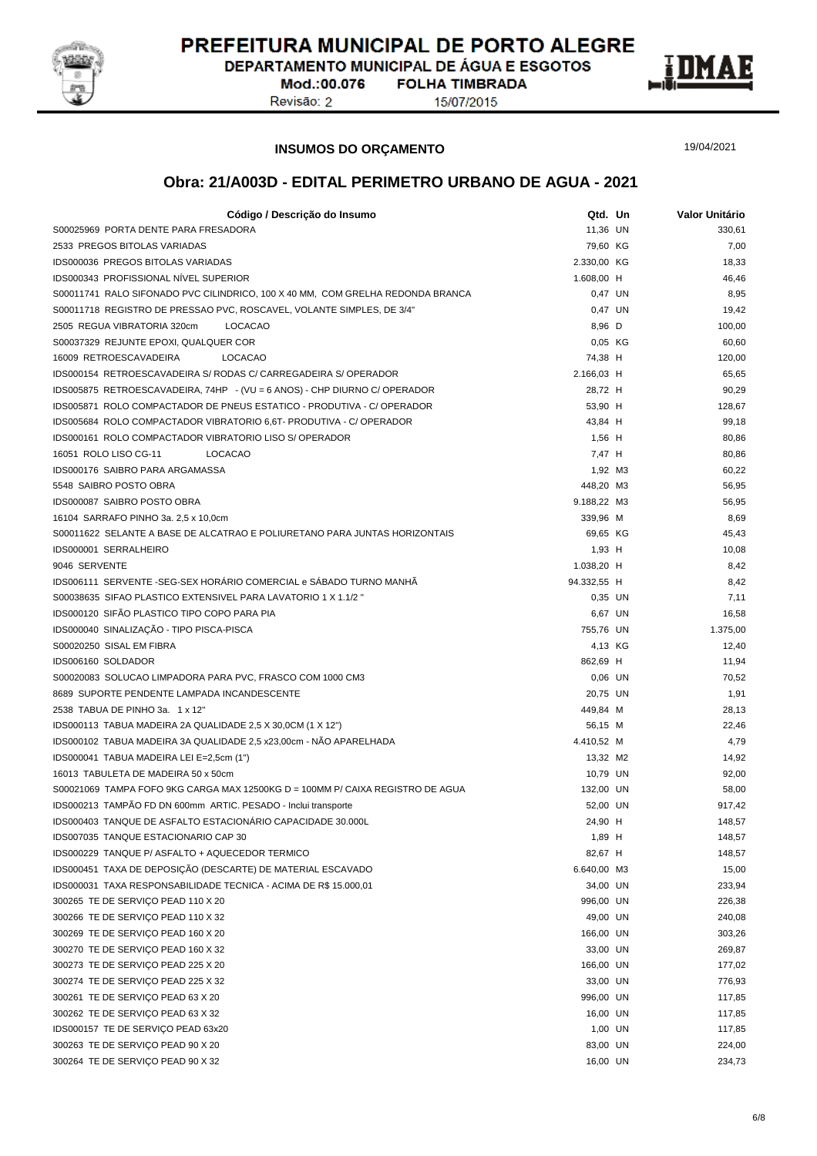

DEPARTAMENTO MUNICIPAL DE ÁGUA E ESGOTOS **FOLHA TIMBRADA** 

Mod.:00.076 Revisão: 2

15/07/2015



#### **INSUMOS DO ORÇAMENTO**

19/04/2021

| Código / Descrição do Insumo                                                   | Qtd. Un     | Valor Unitário |
|--------------------------------------------------------------------------------|-------------|----------------|
| S00025969 PORTA DENTE PARA FRESADORA                                           | 11,36 UN    | 330,61         |
| 2533 PREGOS BITOLAS VARIADAS                                                   | 79,60 KG    | 7,00           |
| IDS000036 PREGOS BITOLAS VARIADAS                                              | 2.330,00 KG | 18,33          |
| IDS000343 PROFISSIONAL NIVEL SUPERIOR                                          | 1.608,00 H  | 46,46          |
| S00011741 RALO SIFONADO PVC CILINDRICO, 100 X 40 MM, COM GRELHA REDONDA BRANCA | 0,47 UN     | 8,95           |
| S00011718 REGISTRO DE PRESSAO PVC, ROSCAVEL, VOLANTE SIMPLES, DE 3/4"          | $0,47$ UN   | 19,42          |
| 2505 REGUA VIBRATORIA 320cm<br><b>LOCACAO</b>                                  | 8,96 D      | 100,00         |
| S00037329 REJUNTE EPOXI, QUALQUER COR                                          | 0.05 KG     | 60,60          |
| 16009 RETROESCAVADEIRA<br>LOCACAO                                              | 74,38 H     | 120,00         |
| IDS000154 RETROESCAVADEIRA S/ RODAS C/ CARREGADEIRA S/ OPERADOR                | 2.166,03 H  | 65,65          |
| IDS005875 RETROESCAVADEIRA, 74HP - (VU = 6 ANOS) - CHP DIURNO C/ OPERADOR      | 28,72 H     | 90,29          |
| IDS005871 ROLO COMPACTADOR DE PNEUS ESTATICO - PRODUTIVA - C/ OPERADOR         | 53,90 H     | 128,67         |
| IDS005684 ROLO COMPACTADOR VIBRATORIO 6,6T- PRODUTIVA - C/ OPERADOR            | 43,84 H     | 99,18          |
| IDS000161 ROLO COMPACTADOR VIBRATORIO LISO S/ OPERADOR                         | 1,56 H      | 80,86          |
| 16051 ROLO LISO CG-11<br><b>LOCACAO</b>                                        | 7,47 H      | 80,86          |
| IDS000176 SAIBRO PARA ARGAMASSA                                                | 1,92 M3     | 60,22          |
| 5548 SAIBRO POSTO OBRA                                                         | 448,20 M3   | 56,95          |
| IDS000087 SAIBRO POSTO OBRA                                                    | 9.188,22 M3 | 56,95          |
| 16104 SARRAFO PINHO 3a. 2,5 x 10,0cm                                           | 339,96 M    | 8,69           |
| S00011622 SELANTE A BASE DE ALCATRAO E POLIURETANO PARA JUNTAS HORIZONTAIS     | 69,65 KG    | 45,43          |
| IDS000001 SERRALHEIRO                                                          | $1,93$ H    | 10,08          |
| 9046 SERVENTE                                                                  | 1.038,20 H  | 8,42           |
| IDS006111 SERVENTE -SEG-SEX HORÁRIO COMERCIAL e SÁBADO TURNO MANHÃ             | 94.332,55 H | 8,42           |
| S00038635 SIFAO PLASTICO EXTENSIVEL PARA LAVATORIO 1 X 1.1/2 "                 | $0,35$ UN   | 7,11           |
| IDS000120 SIFÃO PLASTICO TIPO COPO PARA PIA                                    | 6,67 UN     | 16,58          |
| IDS000040 SINALIZAÇÃO - TIPO PISCA-PISCA                                       | 755,76 UN   | 1.375,00       |
| S00020250 SISAL EM FIBRA                                                       | 4,13 KG     | 12,40          |
| IDS006160 SOLDADOR                                                             | 862,69 H    | 11,94          |
| S00020083 SOLUCAO LIMPADORA PARA PVC, FRASCO COM 1000 CM3                      | $0,06$ UN   | 70,52          |
| 8689 SUPORTE PENDENTE LAMPADA INCANDESCENTE                                    | 20,75 UN    | 1,91           |
| 2538 TABUA DE PINHO 3a. 1 x 12"                                                | 449,84 M    | 28,13          |
| IDS000113 TABUA MADEIRA 2A QUALIDADE 2,5 X 30,0CM (1 X 12")                    | 56,15 M     | 22,46          |
| IDS000102 TABUA MADEIRA 3A QUALIDADE 2,5 x23,00cm - NÃO APARELHADA             | 4.410,52 M  | 4,79           |
| IDS000041 TABUA MADEIRA LEI E=2,5cm (1")                                       | 13,32 M2    | 14,92          |
| 16013 TABULETA DE MADEIRA 50 x 50cm                                            | 10,79 UN    | 92,00          |
| S00021069 TAMPA FOFO 9KG CARGA MAX 12500KG D = 100MM P/ CAIXA REGISTRO DE AGUA | 132,00 UN   | 58,00          |
| IDS000213 TAMPÃO FD DN 600mm ARTIC. PESADO - Inclui transporte                 | 52,00 UN    | 917,42         |
| IDS000403 TANQUE DE ASFALTO ESTACIONÁRIO CAPACIDADE 30.000L                    | 24,90 H     | 148,57         |
| IDS007035 TANQUE ESTACIONARIO CAP 30                                           | 1,89 H      | 148,57         |
| IDS000229 TANQUE P/ ASFALTO + AQUECEDOR TERMICO                                | 82,67 H     | 148,57         |
| IDS000451 TAXA DE DEPOSIÇÃO (DESCARTE) DE MATERIAL ESCAVADO                    | 6.640,00 M3 | 15,00          |
| IDS000031 TAXA RESPONSABILIDADE TECNICA - ACIMA DE R\$ 15.000,01               | 34,00 UN    | 233,94         |
| 300265 TE DE SERVIÇO PEAD 110 X 20                                             | 996,00 UN   | 226,38         |
| 300266 TE DE SERVIÇO PEAD 110 X 32                                             | 49,00 UN    | 240,08         |
| 300269 TE DE SERVIÇO PEAD 160 X 20                                             | 166,00 UN   | 303,26         |
| 300270 TE DE SERVIÇO PEAD 160 X 32                                             | 33,00 UN    | 269,87         |
| 300273 TE DE SERVIÇO PEAD 225 X 20                                             | 166,00 UN   | 177,02         |
| 300274 TE DE SERVIÇO PEAD 225 X 32                                             | 33,00 UN    | 776,93         |
| 300261 TE DE SERVIÇO PEAD 63 X 20                                              | 996,00 UN   | 117,85         |
| 300262 TE DE SERVIÇO PEAD 63 X 32                                              | 16,00 UN    | 117,85         |
| IDS000157 TE DE SERVIÇO PEAD 63x20                                             | 1,00 UN     | 117,85         |
| 300263 TE DE SERVIÇO PEAD 90 X 20                                              | 83,00 UN    | 224,00         |
| 300264 TE DE SERVIÇO PEAD 90 X 32                                              | 16,00 UN    | 234,73         |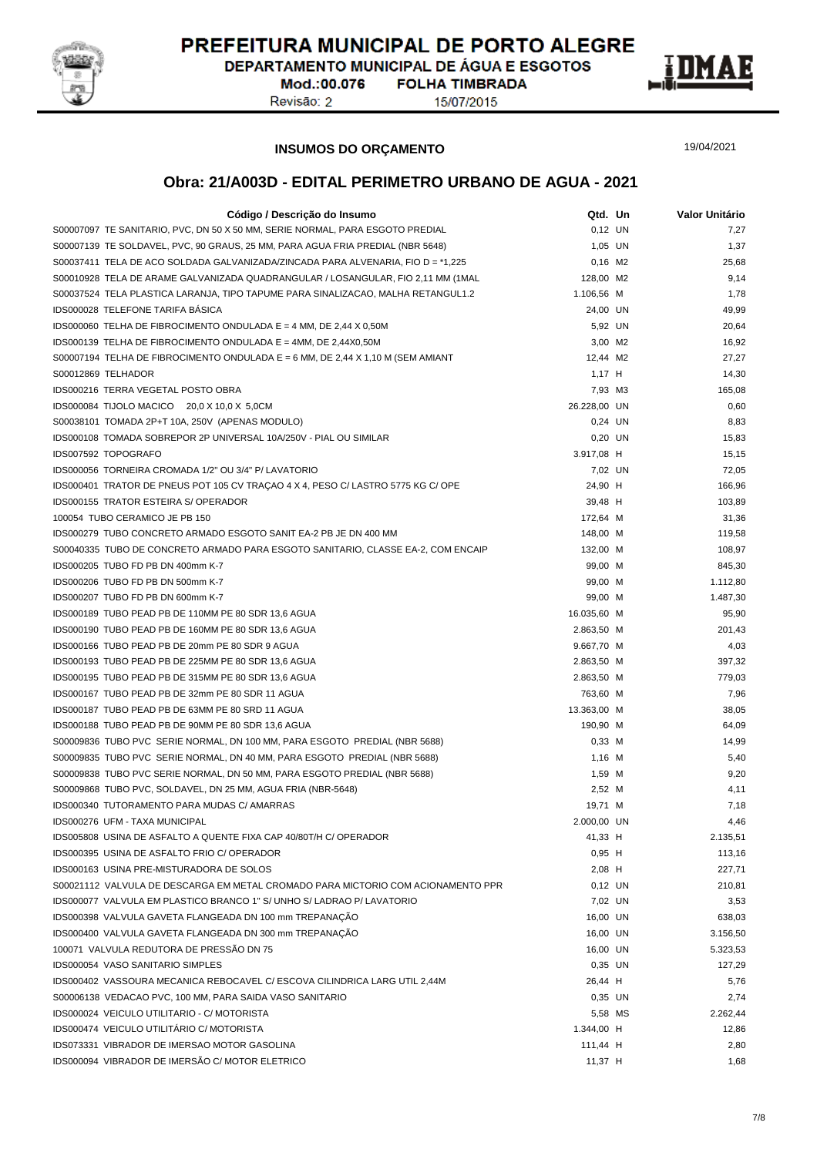

DEPARTAMENTO MUNICIPAL DE ÁGUA E ESGOTOS **FOLHA TIMBRADA** 

Mod.:00.076 Revisão: 2

15/07/2015



#### **INSUMOS DO ORÇAMENTO**

19/04/2021

| Código / Descrição do Insumo                                                     | Qtd. Un      | Valor Unitário |
|----------------------------------------------------------------------------------|--------------|----------------|
| S00007097 TE SANITARIO, PVC, DN 50 X 50 MM, SERIE NORMAL, PARA ESGOTO PREDIAL    | $0,12$ UN    | 7,27           |
| S00007139 TE SOLDAVEL, PVC, 90 GRAUS, 25 MM, PARA AGUA FRIA PREDIAL (NBR 5648)   | 1,05 UN      | 1,37           |
| S00037411 TELA DE ACO SOLDADA GALVANIZADA/ZINCADA PARA ALVENARIA, FIO D = *1,225 | $0,16$ M2    | 25,68          |
| S00010928 TELA DE ARAME GALVANIZADA QUADRANGULAR / LOSANGULAR, FIO 2,11 MM (1MAL | 128,00 M2    | 9,14           |
| S00037524 TELA PLASTICA LARANJA, TIPO TAPUME PARA SINALIZACAO, MALHA RETANGUL1.2 | 1.106,56 M   | 1,78           |
| IDS000028 TELEFONE TARIFA BASICA                                                 | 24,00 UN     | 49,99          |
| IDS000060 TELHA DE FIBROCIMENTO ONDULADA E = 4 MM, DE 2,44 X 0,50M               | 5,92 UN      | 20,64          |
| IDS000139 TELHA DE FIBROCIMENTO ONDULADA E = 4MM, DE 2,44X0,50M                  | 3,00 M2      | 16,92          |
| S00007194 TELHA DE FIBROCIMENTO ONDULADA E = 6 MM, DE 2,44 X 1,10 M (SEM AMIANT  | 12,44 M2     | 27,27          |
| S00012869 TELHADOR                                                               | 1,17 H       | 14,30          |
| IDS000216 TERRA VEGETAL POSTO OBRA                                               | 7,93 M3      | 165,08         |
| IDS000084 TIJOLO MACICO 20,0 X 10,0 X 5,0CM                                      | 26.228,00 UN | 0,60           |
| S00038101 TOMADA 2P+T 10A, 250V (APENAS MODULO)                                  | $0,24$ UN    | 8,83           |
| IDS000108 TOMADA SOBREPOR 2P UNIVERSAL 10A/250V - PIAL OU SIMILAR                | $0,20$ UN    | 15,83          |
| IDS007592 TOPOGRAFO                                                              | 3.917,08 H   | 15,15          |
| IDS000056 TORNEIRA CROMADA 1/2" OU 3/4" P/ LAVATORIO                             | 7,02 UN      | 72,05          |
| IDS000401 TRATOR DE PNEUS POT 105 CV TRAÇÃO 4 X 4, PESO C/ LASTRO 5775 KG C/ OPE | 24,90 H      | 166,96         |
| IDS000155 TRATOR ESTEIRA S/ OPERADOR                                             | 39,48 H      | 103,89         |
| 100054 TUBO CERAMICO JE PB 150                                                   | 172,64 M     | 31,36          |
| IDS000279 TUBO CONCRETO ARMADO ESGOTO SANIT EA-2 PB JE DN 400 MM                 | 148,00 M     | 119,58         |
| S00040335 TUBO DE CONCRETO ARMADO PARA ESGOTO SANITARIO, CLASSE EA-2, COM ENCAIP | 132,00 M     | 108,97         |
| IDS000205 TUBO FD PB DN 400mm K-7                                                | 99,00 M      | 845,30         |
| IDS000206 TUBO FD PB DN 500mm K-7                                                | 99,00 M      | 1.112,80       |
| IDS000207 TUBO FD PB DN 600mm K-7                                                | 99,00 M      | 1.487,30       |
| IDS000189 TUBO PEAD PB DE 110MM PE 80 SDR 13,6 AGUA                              | 16.035,60 M  | 95,90          |
| IDS000190 TUBO PEAD PB DE 160MM PE 80 SDR 13,6 AGUA                              | 2.863,50 M   | 201,43         |
| IDS000166 TUBO PEAD PB DE 20mm PE 80 SDR 9 AGUA                                  | 9.667,70 M   | 4,03           |
| IDS000193 TUBO PEAD PB DE 225MM PE 80 SDR 13,6 AGUA                              | 2.863,50 M   | 397,32         |
| IDS000195 TUBO PEAD PB DE 315MM PE 80 SDR 13,6 AGUA                              | 2.863,50 M   | 779,03         |
| IDS000167 TUBO PEAD PB DE 32mm PE 80 SDR 11 AGUA                                 | 763,60 M     | 7,96           |
| IDS000187 TUBO PEAD PB DE 63MM PE 80 SRD 11 AGUA                                 | 13.363,00 M  | 38,05          |
| IDS000188 TUBO PEAD PB DE 90MM PE 80 SDR 13,6 AGUA                               | 190,90 M     | 64,09          |
| S00009836 TUBO PVC SERIE NORMAL, DN 100 MM, PARA ESGOTO PREDIAL (NBR 5688)       | $0,33 \, M$  | 14,99          |
| S00009835 TUBO PVC SERIE NORMAL, DN 40 MM, PARA ESGOTO PREDIAL (NBR 5688)        | 1,16 M       | 5,40           |
| S00009838 TUBO PVC SERIE NORMAL, DN 50 MM, PARA ESGOTO PREDIAL (NBR 5688)        | 1,59 M       | 9,20           |
| S00009868 TUBO PVC, SOLDAVEL, DN 25 MM, AGUA FRIA (NBR-5648)                     | 2,52 M       | 4,11           |
| IDS000340 TUTORAMENTO PARA MUDAS C/ AMARRAS                                      | 19,71 M      | 7,18           |
| IDS000276 UFM - TAXA MUNICIPAL                                                   | 2.000,00 UN  | 4,46           |
| IDS005808 USINA DE ASFALTO A QUENTE FIXA CAP 40/80T/H C/ OPERADOR                | 41,33 H      | 2.135,51       |
| IDS000395 USINA DE ASFALTO FRIO C/ OPERADOR                                      | $0,95$ H     | 113,16         |
| IDS000163 USINA PRE-MISTURADORA DE SOLOS                                         | $2,08$ H     | 227,71         |
| S00021112 VALVULA DE DESCARGA EM METAL CROMADO PARA MICTORIO COM ACIONAMENTO PPR | $0,12$ UN    | 210,81         |
| IDS000077 VALVULA EM PLASTICO BRANCO 1" S/ UNHO S/ LADRAO P/ LAVATORIO           | 7,02 UN      | 3,53           |
| IDS000398 VALVULA GAVETA FLANGEADA DN 100 mm TREPANACÃO                          | 16,00 UN     | 638,03         |
| IDS000400 VALVULA GAVETA FLANGEADA DN 300 mm TREPANAÇÃO                          | 16,00 UN     | 3.156,50       |
| 100071 VALVULA REDUTORA DE PRESSÃO DN 75                                         | 16,00 UN     | 5.323,53       |
| IDS000054 VASO SANITARIO SIMPLES                                                 | 0,35 UN      | 127,29         |
| IDS000402 VASSOURA MECANICA REBOCAVEL C/ ESCOVA CILINDRICA LARG UTIL 2,44M       | 26,44 H      | 5,76           |
| S00006138 VEDACAO PVC, 100 MM, PARA SAIDA VASO SANITARIO                         | 0,35 UN      | 2,74           |
| IDS000024 VEICULO UTILITARIO - C/ MOTORISTA                                      | 5,58 MS      | 2.262,44       |
| IDS000474 VEICULO UTILITÁRIO C/ MOTORISTA                                        | 1.344,00 H   | 12,86          |
| IDS073331 VIBRADOR DE IMERSAO MOTOR GASOLINA                                     | 111,44 H     | 2,80           |
| IDS000094 VIBRADOR DE IMERSÃO C/ MOTOR ELETRICO                                  | 11,37 H      | 1,68           |